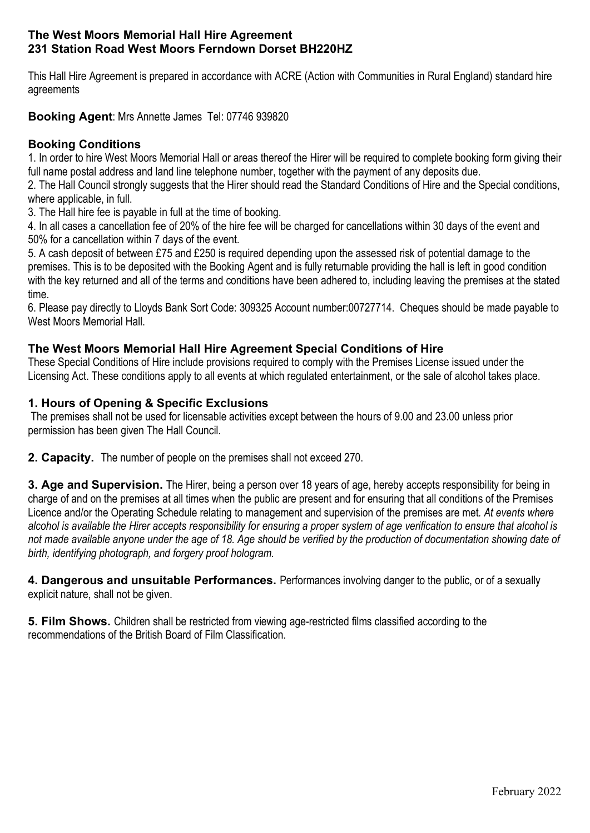#### The West Moors Memorial Hall Hire Agreement 231 Station Road West Moors Ferndown Dorset BH220HZ

This Hall Hire Agreement is prepared in accordance with ACRE (Action with Communities in Rural England) standard hire agreements

Booking Agent: Mrs Annette James Tel: 07746 939820

# Booking Conditions

1. In order to hire West Moors Memorial Hall or areas thereof the Hirer will be required to complete booking form giving their full name postal address and land line telephone number, together with the payment of any deposits due.

2. The Hall Council strongly suggests that the Hirer should read the Standard Conditions of Hire and the Special conditions, where applicable, in full.

3. The Hall hire fee is payable in full at the time of booking.

4. In all cases a cancellation fee of 20% of the hire fee will be charged for cancellations within 30 days of the event and 50% for a cancellation within 7 days of the event.

5. A cash deposit of between £75 and £250 is required depending upon the assessed risk of potential damage to the premises. This is to be deposited with the Booking Agent and is fully returnable providing the hall is left in good condition with the key returned and all of the terms and conditions have been adhered to, including leaving the premises at the stated time.

6. Please pay directly to Lloyds Bank Sort Code: 309325 Account number:00727714. Cheques should be made payable to West Moors Memorial Hall.

## The West Moors Memorial Hall Hire Agreement Special Conditions of Hire

These Special Conditions of Hire include provisions required to comply with the Premises License issued under the Licensing Act. These conditions apply to all events at which regulated entertainment, or the sale of alcohol takes place.

## 1. Hours of Opening & Specific Exclusions

 The premises shall not be used for licensable activities except between the hours of 9.00 and 23.00 unless prior permission has been given The Hall Council.

2. Capacity. The number of people on the premises shall not exceed 270.

3. Age and Supervision. The Hirer, being a person over 18 years of age, hereby accepts responsibility for being in charge of and on the premises at all times when the public are present and for ensuring that all conditions of the Premises Licence and/or the Operating Schedule relating to management and supervision of the premises are met. At events where alcohol is available the Hirer accepts responsibility for ensuring a proper system of age verification to ensure that alcohol is not made available anyone under the age of 18. Age should be verified by the production of documentation showing date of birth, identifying photograph, and forgery proof hologram.

4. Dangerous and unsuitable Performances. Performances involving danger to the public, or of a sexually explicit nature, shall not be given.

5. Film Shows. Children shall be restricted from viewing age-restricted films classified according to the recommendations of the British Board of Film Classification.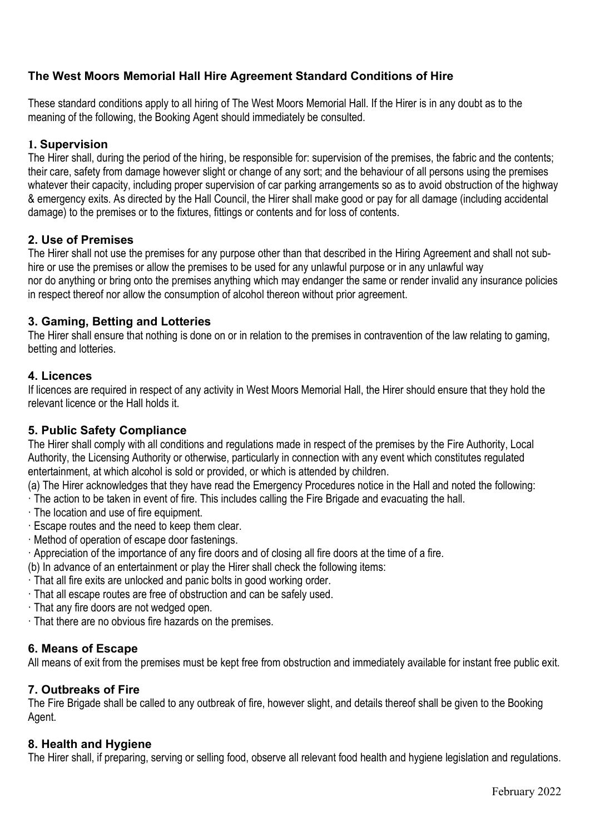# The West Moors Memorial Hall Hire Agreement Standard Conditions of Hire

These standard conditions apply to all hiring of The West Moors Memorial Hall. If the Hirer is in any doubt as to the meaning of the following, the Booking Agent should immediately be consulted.

#### 1. Supervision

The Hirer shall, during the period of the hiring, be responsible for: supervision of the premises, the fabric and the contents; their care, safety from damage however slight or change of any sort; and the behaviour of all persons using the premises whatever their capacity, including proper supervision of car parking arrangements so as to avoid obstruction of the highway & emergency exits. As directed by the Hall Council, the Hirer shall make good or pay for all damage (including accidental damage) to the premises or to the fixtures, fittings or contents and for loss of contents.

#### 2. Use of Premises

The Hirer shall not use the premises for any purpose other than that described in the Hiring Agreement and shall not subhire or use the premises or allow the premises to be used for any unlawful purpose or in any unlawful way nor do anything or bring onto the premises anything which may endanger the same or render invalid any insurance policies in respect thereof nor allow the consumption of alcohol thereon without prior agreement.

## 3. Gaming, Betting and Lotteries

The Hirer shall ensure that nothing is done on or in relation to the premises in contravention of the law relating to gaming, betting and lotteries.

### 4. Licences

If licences are required in respect of any activity in West Moors Memorial Hall, the Hirer should ensure that they hold the relevant licence or the Hall holds it.

## 5. Public Safety Compliance

The Hirer shall comply with all conditions and regulations made in respect of the premises by the Fire Authority, Local Authority, the Licensing Authority or otherwise, particularly in connection with any event which constitutes regulated entertainment, at which alcohol is sold or provided, or which is attended by children.

(a) The Hirer acknowledges that they have read the Emergency Procedures notice in the Hall and noted the following:

· The action to be taken in event of fire. This includes calling the Fire Brigade and evacuating the hall.

- · The location and use of fire equipment.
- · Escape routes and the need to keep them clear.
- · Method of operation of escape door fastenings.
- · Appreciation of the importance of any fire doors and of closing all fire doors at the time of a fire.
- (b) In advance of an entertainment or play the Hirer shall check the following items:
- · That all fire exits are unlocked and panic bolts in good working order.
- · That all escape routes are free of obstruction and can be safely used.
- · That any fire doors are not wedged open.
- · That there are no obvious fire hazards on the premises.

## 6. Means of Escape

All means of exit from the premises must be kept free from obstruction and immediately available for instant free public exit.

## 7. Outbreaks of Fire

The Fire Brigade shall be called to any outbreak of fire, however slight, and details thereof shall be given to the Booking Agent.

#### 8. Health and Hygiene

The Hirer shall, if preparing, serving or selling food, observe all relevant food health and hygiene legislation and regulations.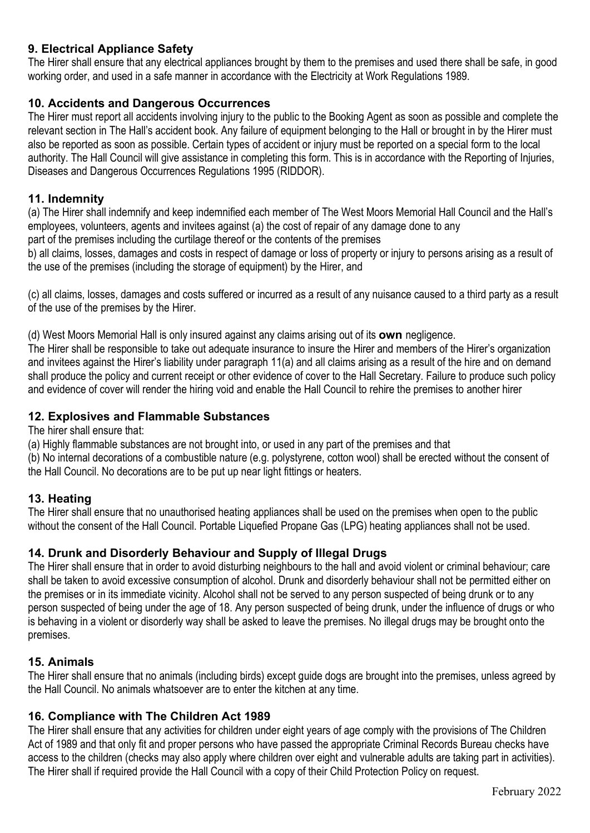## 9. Electrical Appliance Safety

The Hirer shall ensure that any electrical appliances brought by them to the premises and used there shall be safe, in good working order, and used in a safe manner in accordance with the Electricity at Work Regulations 1989.

### 10. Accidents and Dangerous Occurrences

The Hirer must report all accidents involving injury to the public to the Booking Agent as soon as possible and complete the relevant section in The Hall's accident book. Any failure of equipment belonging to the Hall or brought in by the Hirer must also be reported as soon as possible. Certain types of accident or injury must be reported on a special form to the local authority. The Hall Council will give assistance in completing this form. This is in accordance with the Reporting of Injuries, Diseases and Dangerous Occurrences Regulations 1995 (RIDDOR).

#### 11. Indemnity

(a) The Hirer shall indemnify and keep indemnified each member of The West Moors Memorial Hall Council and the Hall's employees, volunteers, agents and invitees against (a) the cost of repair of any damage done to any part of the premises including the curtilage thereof or the contents of the premises

b) all claims, losses, damages and costs in respect of damage or loss of property or injury to persons arising as a result of the use of the premises (including the storage of equipment) by the Hirer, and

(c) all claims, losses, damages and costs suffered or incurred as a result of any nuisance caused to a third party as a result of the use of the premises by the Hirer.

(d) West Moors Memorial Hall is only insured against any claims arising out of its own negligence.

The Hirer shall be responsible to take out adequate insurance to insure the Hirer and members of the Hirer's organization and invitees against the Hirer's liability under paragraph 11(a) and all claims arising as a result of the hire and on demand shall produce the policy and current receipt or other evidence of cover to the Hall Secretary. Failure to produce such policy and evidence of cover will render the hiring void and enable the Hall Council to rehire the premises to another hirer

#### 12. Explosives and Flammable Substances

The hirer shall ensure that:

(a) Highly flammable substances are not brought into, or used in any part of the premises and that

(b) No internal decorations of a combustible nature (e.g. polystyrene, cotton wool) shall be erected without the consent of the Hall Council. No decorations are to be put up near light fittings or heaters.

#### 13. Heating

The Hirer shall ensure that no unauthorised heating appliances shall be used on the premises when open to the public without the consent of the Hall Council. Portable Liquefied Propane Gas (LPG) heating appliances shall not be used.

## 14. Drunk and Disorderly Behaviour and Supply of Illegal Drugs

The Hirer shall ensure that in order to avoid disturbing neighbours to the hall and avoid violent or criminal behaviour; care shall be taken to avoid excessive consumption of alcohol. Drunk and disorderly behaviour shall not be permitted either on the premises or in its immediate vicinity. Alcohol shall not be served to any person suspected of being drunk or to any person suspected of being under the age of 18. Any person suspected of being drunk, under the influence of drugs or who is behaving in a violent or disorderly way shall be asked to leave the premises. No illegal drugs may be brought onto the premises.

#### 15. Animals

The Hirer shall ensure that no animals (including birds) except guide dogs are brought into the premises, unless agreed by the Hall Council. No animals whatsoever are to enter the kitchen at any time.

#### 16. Compliance with The Children Act 1989

The Hirer shall ensure that any activities for children under eight years of age comply with the provisions of The Children Act of 1989 and that only fit and proper persons who have passed the appropriate Criminal Records Bureau checks have access to the children (checks may also apply where children over eight and vulnerable adults are taking part in activities). The Hirer shall if required provide the Hall Council with a copy of their Child Protection Policy on request.